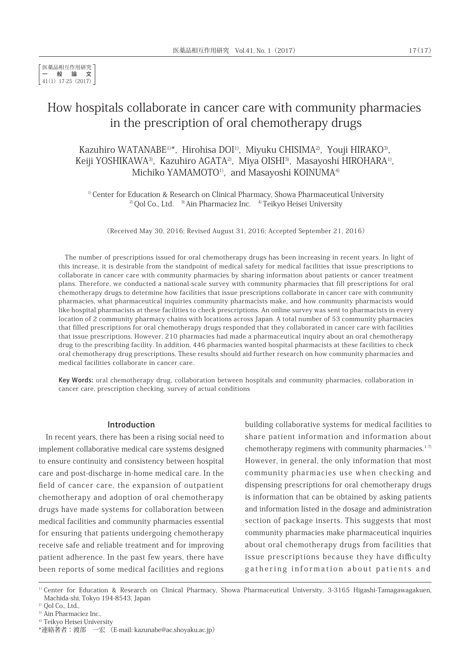# How hospitals collaborate in cancer care with community pharmacies in the prescription of oral chemotherapy drugs

Kazuhiro WATANABE<sup>1)\*</sup>, Hirohisa DOI<sup>1)</sup>, Miyuku CHISIMA<sup>2</sup>, Youji HIRAKO<sup>3</sup>, Keiji YOSHIKAWA<sup>3)</sup>, Kazuhiro AGATA<sup>2</sup>, Miya OISHI<sup>3</sup>, Masayoshi HIROHARA<sup>1)</sup>, Michiko YAMAMOTO<sup>1)</sup>, and Masayoshi KOINUMA<sup>4)</sup>

<sup>1)</sup> Center for Education & Research on Clinical Pharmacy, Showa Pharmaceutical University <sup>2)</sup> Qol Co., Ltd.  $3\pi$ Ain Pharmaciez Inc.  $4\pi$ Teikyo Heisei University

(Received May 30, 2016; Revised August 31, 2016; Accepted September 21, 2016)

The number of prescriptions issued for oral chemotherapy drugs has been increasing in recent years. In light of this increase, it is desirable from the standpoint of medical safety for medical facilities that issue prescriptions to collaborate in cancer care with community pharmacies by sharing information about patients or cancer treatment plans. Therefore, we conducted a national-scale survey with community pharmacies that fill prescriptions for oral chemotherapy drugs to determine how facilities that issue prescriptions collaborate in cancer care with community pharmacies, what pharmaceutical inquiries community pharmacists make, and how community pharmacists would like hospital pharmacists at these facilities to check prescriptions. An online survey was sent to pharmacists in every location of 2 community pharmacy chains with locations across Japan. A total number of 53 community pharmacies that filled prescriptions for oral chemotherapy drugs responded that they collaborated in cancer care with facilities that issue prescriptions. However, 210 pharmacies had made a pharmaceutical inquiry about an oral chemotherapy drug to the prescribing facility. In addition, 446 pharmacies wanted hospital pharmacists at these facilities to check oral chemotherapy drug prescriptions. These results should aid further research on how community pharmacies and medical facilities collaborate in cancer care.

Key Words: oral chemotherapy drug, collaboration between hospitals and community pharmacies, collaboration in cancer care, prescription checking, survey of actual conditions

#### Introduction

In recent years, there has been a rising social need to implement collaborative medical care systems designed to ensure continuity and consistency between hospital care and post-discharge in-home medical care. In the field of cancer care, the expansion of outpatient chemotherapy and adoption of oral chemotherapy drugs have made systems for collaboration between medical facilities and community pharmacies essential for ensuring that patients undergoing chemotherapy receive safe and reliable treatment and for improving patient adherence. In the past few years, there have been reports of some medical facilities and regions building collaborative systems for medical facilities to share patient information and information about chemotherapy regimens with community pharmacies. $1-7$ However, in general, the only information that most community pharmacies use when checking and dispensing prescriptions for oral chemotherapy drugs is information that can be obtained by asking patients and information listed in the dosage and administration section of package inserts. This suggests that most community pharmacies make pharmaceutical inquiries about oral chemotherapy drugs from facilities that issue prescriptions because they have difficulty gathering information about patients and

<sup>1)</sup> Center for Education & Research on Clinical Pharmacy, Showa Pharmaceutical University, 3-3165 Higashi-Tamagawagakuen, Machida-shi, Tokyo 194-8543, Japan

 $2)$  Qol Co., Ltd.,

<sup>3)</sup> Ain Pharmaciez Inc.,

<sup>&</sup>lt;sup>4)</sup> Teikyo Heisei University

<sup>\*</sup>連絡著者:渡部 一宏 (E-mail: kazunabe@ac.shoyaku.ac.jp)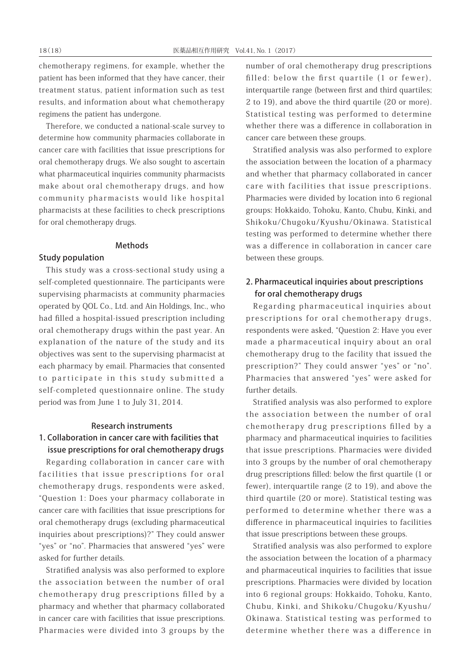chemotherapy regimens, for example, whether the patient has been informed that they have cancer, their treatment status, patient information such as test results, and information about what chemotherapy regimens the patient has undergone.

Therefore, we conducted a national-scale survey to determine how community pharmacies collaborate in cancer care with facilities that issue prescriptions for oral chemotherapy drugs. We also sought to ascertain what pharmaceutical inquiries community pharmacists make about oral chemotherapy drugs, and how community pharmacists would like hospital pharmacists at these facilities to check prescriptions for oral chemotherapy drugs.

#### Methods

### Study population

This study was a cross-sectional study using a self-completed questionnaire. The participants were supervising pharmacists at community pharmacies operated by QOL Co., Ltd. and Ain Holdings, Inc., who had filled a hospital-issued prescription including oral chemotherapy drugs within the past year. An explanation of the nature of the study and its objectives was sent to the supervising pharmacist at each pharmacy by email. Pharmacies that consented to participate in this study submitted a self-completed questionnaire online. The study period was from June 1 to July 31, 2014.

#### Research instruments

## 1. Collaboration in cancer care with facilities that issue prescriptions for oral chemotherapy drugs

Regarding collaboration in cancer care with facilities that issue prescriptions for oral chemotherapy drugs, respondents were asked, "Question 1: Does your pharmacy collaborate in cancer care with facilities that issue prescriptions for oral chemotherapy drugs (excluding pharmaceutical inquiries about prescriptions)?" They could answer "yes" or "no". Pharmacies that answered "yes" were asked for further details.

Stratified analysis was also performed to explore the association between the number of oral chemotherapy drug prescriptions filled by a pharmacy and whether that pharmacy collaborated in cancer care with facilities that issue prescriptions. Pharmacies were divided into 3 groups by the

number of oral chemotherapy drug prescriptions filled: below the first quartile (1 or fewer), interquartile range (between first and third quartiles; 2 to 19), and above the third quartile (20 or more). Statistical testing was performed to determine whether there was a difference in collaboration in cancer care between these groups.

Stratified analysis was also performed to explore the association between the location of a pharmacy and whether that pharmacy collaborated in cancer care with facilities that issue prescriptions. Pharmacies were divided by location into 6 regional groups: Hokkaido, Tohoku, Kanto, Chubu, Kinki, and Shikoku/Chugoku/Kyushu/Okinawa. Statistical testing was performed to determine whether there was a difference in collaboration in cancer care between these groups.

## 2. Pharmaceutical inquiries about prescriptions for oral chemotherapy drugs

Regarding pharmaceutical inquiries about prescriptions for oral chemotherapy drugs, respondents were asked, "Question 2: Have you ever made a pharmaceutical inquiry about an oral chemotherapy drug to the facility that issued the prescription?" They could answer "yes" or "no". Pharmacies that answered "yes" were asked for further details.

Stratified analysis was also performed to explore the association between the number of oral chemotherapy drug prescriptions filled by a pharmacy and pharmaceutical inquiries to facilities that issue prescriptions. Pharmacies were divided into 3 groups by the number of oral chemotherapy drug prescriptions filled: below the first quartile (1 or fewer), interquartile range (2 to 19), and above the third quartile (20 or more). Statistical testing was performed to determine whether there was a difference in pharmaceutical inquiries to facilities that issue prescriptions between these groups.

Stratified analysis was also performed to explore the association between the location of a pharmacy and pharmaceutical inquiries to facilities that issue prescriptions. Pharmacies were divided by location into 6 regional groups: Hokkaido, Tohoku, Kanto, Chubu, Kinki, and Shikoku/Chugoku/Kyushu/ Okinawa. Statistical testing was performed to determine whether there was a difference in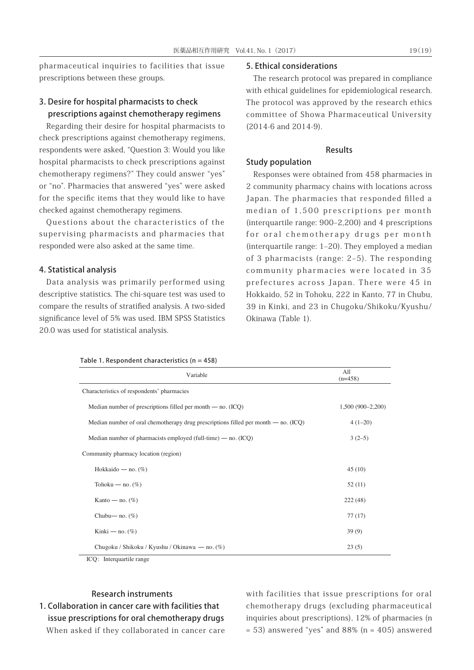pharmaceutical inquiries to facilities that issue prescriptions between these groups.

## 3. Desire for hospital pharmacists to check prescriptions against chemotherapy regimens

Regarding their desire for hospital pharmacists to check prescriptions against chemotherapy regimens, respondents were asked, "Question 3: Would you like hospital pharmacists to check prescriptions against chemotherapy regimens?" They could answer "yes" or "no". Pharmacies that answered "yes" were asked for the specific items that they would like to have checked against chemotherapy regimens.

Questions about the characteristics of the supervising pharmacists and pharmacies that responded were also asked at the same time.

### 4. Statistical analysis

Data analysis was primarily performed using descriptive statistics. The chi-square test was used to compare the results of stratified analysis. A two-sided significance level of 5% was used. IBM SPSS Statistics 20.0 was used for statistical analysis.

Table 1. Respondent characteristics  $(n = 458)$ 

#### 5. Ethical considerations

The research protocol was prepared in compliance with ethical guidelines for epidemiological research. The protocol was approved by the research ethics committee of Showa Pharmaceutical University (2014-6 and 2014-9).

### Results

## Study population

Responses were obtained from 458 pharmacies in 2 community pharmacy chains with locations across Japan. The pharmacies that responded filled a median of 1,500 prescriptions per month (interquartile range: 900‒2,200) and 4 prescriptions for oral chemotherapy drugs per month (interquartile range: 1‒20). They employed a median of 3 pharmacists (range: 2‒5). The responding community pharmacies were located in 35 prefectures across Japan. There were 45 in Hokkaido, 52 in Tohoku, 222 in Kanto, 77 in Chubu, 39 in Kinki, and 23 in Chugoku/Shikoku/Kyushu/ Okinawa (Table 1).

| Variable                                                                             | All<br>$(n=458)$   |
|--------------------------------------------------------------------------------------|--------------------|
| Characteristics of respondents' pharmacies                                           |                    |
| Median number of prescriptions filled per month $-$ no. (ICQ)                        | $1,500(900-2,200)$ |
| Median number of oral chemotherapy drug prescriptions filled per month — no. $(ICQ)$ | $4(1-20)$          |
| Median number of pharmacists employed (full-time) $-$ no. (ICQ)                      | $3(2-5)$           |
| Community pharmacy location (region)                                                 |                    |
| Hokkaido — no. $(\%)$                                                                | 45(10)             |
| Tohoku — no. $(\%)$                                                                  | 52(11)             |
| Kanto — no. $(\%)$                                                                   | 222 (48)           |
| Chubu— no. $(\%)$                                                                    | 77(17)             |
| Kinki — no. $(\%)$                                                                   | 39(9)              |
| Chugoku / Shikoku / Kyushu / Okinawa — no. (%)                                       | 23(5)              |

ICQ: Interquartile range

## Research instruments

1. Collaboration in cancer care with facilities that issue prescriptions for oral chemotherapy drugs When asked if they collaborated in cancer care with facilities that issue prescriptions for oral chemotherapy drugs (excluding pharmaceutical inquiries about prescriptions), 12% of pharmacies (n  $= 53$ ) answered "yes" and 88% (n  $= 405$ ) answered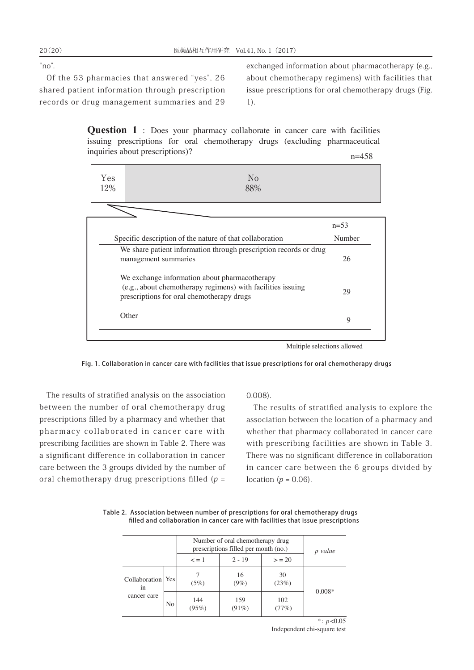" $no$ ".

Of the 53 pharmacies that answered "yes", 26 shared patient information through prescription records or drug management summaries and 29

exchanged information about pharmacotherapy (e.g., about chemotherapy regimens) with facilities that issue prescriptions for oral chemotherapy drugs (Fig. 1).

Question 1 : Does your pharmacy collaborate in cancer care with facilities issuing prescriptions for oral chemotherapy drugs (excluding pharmaceutical inquiries about prescriptions)? n=458

| Yes<br>12% | $\rm No$<br>88%                                                                                                                                           |        |
|------------|-----------------------------------------------------------------------------------------------------------------------------------------------------------|--------|
|            |                                                                                                                                                           |        |
|            |                                                                                                                                                           | $n=53$ |
|            | Specific description of the nature of that collaboration                                                                                                  | Number |
|            | We share patient information through prescription records or drug<br>management summaries                                                                 | 26     |
|            | We exchange information about pharmacotherapy<br>(e.g., about chemotherapy regimens) with facilities issuing<br>prescriptions for oral chemotherapy drugs | 29     |
|            | Other                                                                                                                                                     | 9      |

Multiple selections allowed

Fig. 1. Collaboration in cancer care with facilities that issue prescriptions for oral chemotherapy drugs

The results of stratified analysis on the association between the number of oral chemotherapy drug prescriptions filled by a pharmacy and whether that pharmacy collaborated in cancer care with prescribing facilities are shown in Table 2. There was a significant difference in collaboration in cancer care between the 3 groups divided by the number of oral chemotherapy drug prescriptions filled  $(p =$ 

0.008).

The results of stratified analysis to explore the association between the location of a pharmacy and whether that pharmacy collaborated in cancer care with prescribing facilities are shown in Table 3. There was no significant difference in collaboration in cancer care between the 6 groups divided by location ( $p = 0.06$ ).

Table 2. Association between number of prescriptions for oral chemotherapy drugs filled and collaboration in cancer care with facilities that issue prescriptions

|                                    |     | Number of oral chemotherapy drug<br>prescriptions filled per month (no.) | p value         |               |          |
|------------------------------------|-----|--------------------------------------------------------------------------|-----------------|---------------|----------|
| $2 - 19$<br>$\leq$ = 1<br>> 20     |     |                                                                          |                 |               |          |
| Collaboration<br>1n<br>cancer care | Yes | (5%)                                                                     | 16<br>$(9\%)$   | 30<br>(23%)   |          |
|                                    | No  | 144<br>(95%)                                                             | 159<br>$(91\%)$ | 102<br>$17\%$ | $0.008*$ |

 $*: p < 0.05$ Independent chi-square test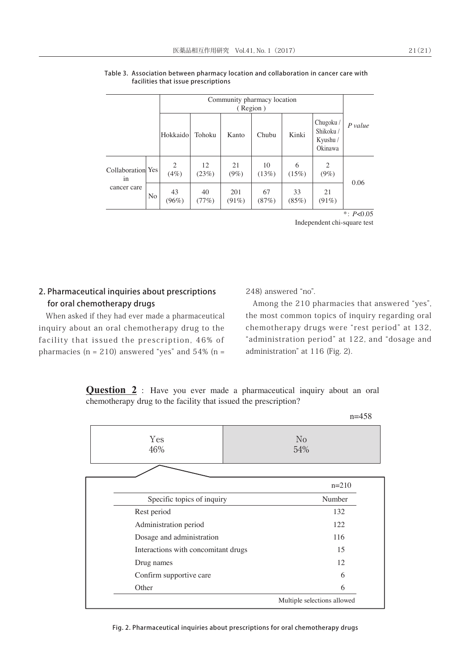|                                        |                | Community pharmacy location<br>(Region) |             |                 |             |             |                                              |         |
|----------------------------------------|----------------|-----------------------------------------|-------------|-----------------|-------------|-------------|----------------------------------------------|---------|
|                                        |                | Hokkaido                                | Tohoku      | Kanto           | Chubu       | Kinki       | Chugoku /<br>Shikoku/<br>Kyushu /<br>Okinawa | P value |
| Collaboration Yes<br>1n<br>cancer care |                | 2<br>$(4\%)$                            | 12<br>(23%) | 21<br>$(9\%)$   | 10<br>(13%) | 6<br>(15%)  | 2<br>$(9\%)$                                 | 0.06    |
|                                        | N <sub>o</sub> | 43<br>$(96\%)$                          | 40<br>(77%) | 201<br>$(91\%)$ | 67<br>(87%) | 33<br>(85%) | 21<br>$(91\%)$                               |         |

#### Table 3. Association between pharmacy location and collaboration in cancer care with facilities that issue prescriptions

\*: *P*<0.05 Independent chi-square test

## 2. Pharmaceutical inquiries about prescriptions for oral chemotherapy drugs

When asked if they had ever made a pharmaceutical inquiry about an oral chemotherapy drug to the facility that issued the prescription, 46% of pharmacies ( $n = 210$ ) answered "yes" and 54% ( $n =$ 

248) answered "no".

Among the 210 pharmacies that answered "yes", the most common topics of inquiry regarding oral chemotherapy drugs were "rest period" at 132, "administration period" at 122, and "dosage and administration" at 116 (Fig. 2).

 $n=450$ 

**Question 2** : Have you ever made a pharmaceutical inquiry about an oral chemotherapy drug to the facility that issued the prescription?

|                                     | $11 - 430$                  |
|-------------------------------------|-----------------------------|
| Yes<br>46%                          | N <sub>o</sub><br>54%       |
|                                     |                             |
|                                     | $n=210$                     |
| Specific topics of inquiry          | Number                      |
| Rest period                         | 132                         |
| Administration period               | 122                         |
| Dosage and administration           | 116                         |
| Interactions with concomitant drugs | 15                          |
| Drug names                          | 12                          |
| Confirm supportive care             | 6                           |
| Other                               | 6                           |
|                                     | Multiple selections allowed |

Fig. 2. Pharmaceutical inquiries about prescriptions for oral chemotherapy drugs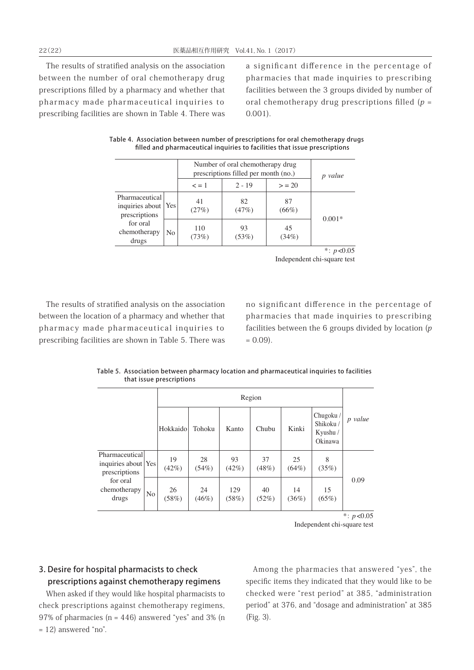The results of stratified analysis on the association between the number of oral chemotherapy drug prescriptions filled by a pharmacy and whether that pharmacy made pharmaceutical inquiries to prescribing facilities are shown in Table 4. There was a significant difference in the percentage of pharmacies that made inquiries to prescribing facilities between the 3 groups divided by number of oral chemotherapy drug prescriptions filled  $(p =$ 0.001).

|                                                                                               |     | Number of oral chemotherapy drug<br>prescriptions filled per month (no.) | p value     |                |          |
|-----------------------------------------------------------------------------------------------|-----|--------------------------------------------------------------------------|-------------|----------------|----------|
|                                                                                               |     | $\leq$ = 1                                                               | $2 - 19$    | > 20           |          |
| Pharmaceutical<br>inquiries about   Yes<br>prescriptions<br>for oral<br>chemotherapy<br>drugs |     | 41<br>(27%)                                                              | 82<br>(47%) | 87<br>$(66\%)$ |          |
|                                                                                               | No. | 110<br>(73%)                                                             | 93<br>(53%) | 45<br>(34%)    | $0.001*$ |
|                                                                                               |     |                                                                          |             |                |          |

#### Table 4. Association between number of prescriptions for oral chemotherapy drugs filled and pharmaceutical inquiries to facilities that issue prescriptions

 $*$ : *p*<0.05 Independent chi-square test

The results of stratified analysis on the association between the location of a pharmacy and whether that pharmacy made pharmaceutical inquiries to prescribing facilities are shown in Table 5. There was

no significant difference in the percentage of pharmacies that made inquiries to prescribing facilities between the 6 groups divided by location (p  $= 0.09$ ).

|                                                                                             |    | Region      |                |              |             |                |                                              |               |
|---------------------------------------------------------------------------------------------|----|-------------|----------------|--------------|-------------|----------------|----------------------------------------------|---------------|
|                                                                                             |    | Hokkaido    | Tohoku         | Kanto        | Chubu       | Kinki          | Chugoku/<br>Shikoku /<br>Kyushu /<br>Okinawa | p value       |
| Pharmaceutical<br>inquiries about Yes<br>prescriptions<br>for oral<br>chemotherapy<br>drugs |    | 19<br>(42%) | 28<br>(54%)    | 93<br>(42%)  | 37<br>(48%) | 25<br>$(64\%)$ | 8<br>(35%)                                   |               |
|                                                                                             | No | 26<br>(58%) | 24<br>$(46\%)$ | 129<br>(58%) | 40<br>(52%) | 14<br>(36%)    | 15<br>(65%)                                  | 0.09          |
|                                                                                             |    |             |                |              |             |                |                                              | *: $p < 0.05$ |

Table 5. Association between pharmacy location and pharmaceutical inquiries to facilities that issue prescriptions

Independent chi-square test

## 3. Desire for hospital pharmacists to check prescriptions against chemotherapy regimens

When asked if they would like hospital pharmacists to check prescriptions against chemotherapy regimens, 97% of pharmacies ( $n = 446$ ) answered "yes" and 3% (n  $= 12$ ) answered "no".

Among the pharmacies that answered "yes", the specific items they indicated that they would like to be checked were "rest period" at 385, "administration period" at 376, and "dosage and administration" at 385 (Fig. 3).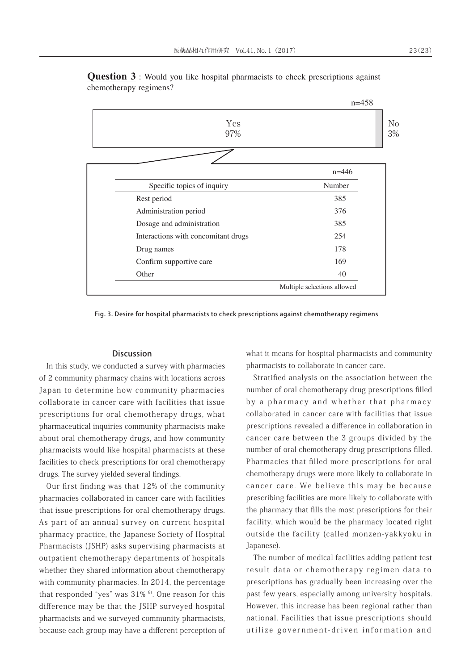

**Question 3** : Would you like hospital pharmacists to check prescriptions against chemotherapy regimens?

Fig. 3. Desire for hospital pharmacists to check prescriptions against chemotherapy regimens

### Discussion

In this study, we conducted a survey with pharmacies of 2 community pharmacy chains with locations across Japan to determine how community pharmacies collaborate in cancer care with facilities that issue prescriptions for oral chemotherapy drugs, what pharmaceutical inquiries community pharmacists make about oral chemotherapy drugs, and how community pharmacists would like hospital pharmacists at these facilities to check prescriptions for oral chemotherapy drugs. The survey yielded several findings.

Our first finding was that 12% of the community pharmacies collaborated in cancer care with facilities that issue prescriptions for oral chemotherapy drugs. As part of an annual survey on current hospital pharmacy practice, the Japanese Society of Hospital Pharmacists (JSHP) asks supervising pharmacists at outpatient chemotherapy departments of hospitals whether they shared information about chemotherapy with community pharmacies. In 2014, the percentage that responded "yes" was  $31\%$   $8$ ). One reason for this difference may be that the JSHP surveyed hospital pharmacists and we surveyed community pharmacists, because each group may have a different perception of what it means for hospital pharmacists and community pharmacists to collaborate in cancer care.

Stratified analysis on the association between the number of oral chemotherapy drug prescriptions filled by a pharmacy and whether that pharmacy collaborated in cancer care with facilities that issue prescriptions revealed a difference in collaboration in cancer care between the 3 groups divided by the number of oral chemotherapy drug prescriptions filled. Pharmacies that filled more prescriptions for oral chemotherapy drugs were more likely to collaborate in cancer care. We believe this may be because prescribing facilities are more likely to collaborate with the pharmacy that fills the most prescriptions for their facility, which would be the pharmacy located right outside the facility (called monzen-yakkyoku in Japanese).

The number of medical facilities adding patient test result data or chemotherapy regimen data to prescriptions has gradually been increasing over the past few years, especially among university hospitals. However, this increase has been regional rather than national. Facilities that issue prescriptions should utilize government-driven information and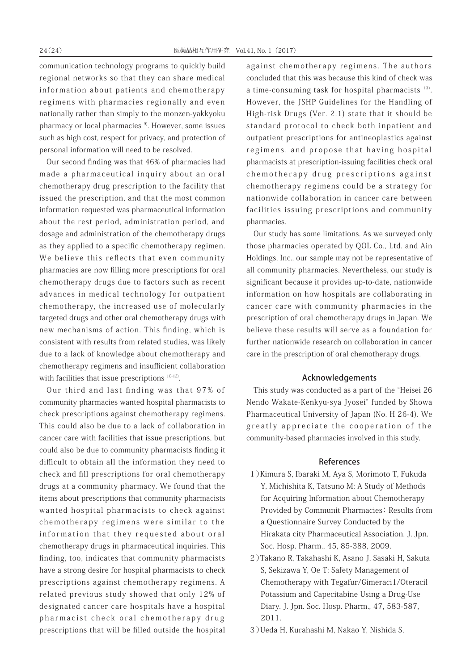communication technology programs to quickly build regional networks so that they can share medical information about patients and chemotherapy regimens with pharmacies regionally and even nationally rather than simply to the monzen-yakkyoku pharmacy or local pharmacies<sup>9</sup>. However, some issues such as high cost, respect for privacy, and protection of personal information will need to be resolved.

Our second finding was that 46% of pharmacies had made a pharmaceutical inquiry about an oral chemotherapy drug prescription to the facility that issued the prescription, and that the most common information requested was pharmaceutical information about the rest period, administration period, and dosage and administration of the chemotherapy drugs as they applied to a specific chemotherapy regimen. We believe this reflects that even community pharmacies are now filling more prescriptions for oral chemotherapy drugs due to factors such as recent advances in medical technology for outpatient chemotherapy, the increased use of molecularly targeted drugs and other oral chemotherapy drugs with new mechanisms of action. This finding, which is consistent with results from related studies, was likely due to a lack of knowledge about chemotherapy and chemotherapy regimens and insufficient collaboration with facilities that issue prescriptions  $10-12$ .

Our third and last finding was that 97% of community pharmacies wanted hospital pharmacists to check prescriptions against chemotherapy regimens. This could also be due to a lack of collaboration in cancer care with facilities that issue prescriptions, but could also be due to community pharmacists finding it difficult to obtain all the information they need to check and fill prescriptions for oral chemotherapy drugs at a community pharmacy. We found that the items about prescriptions that community pharmacists wanted hospital pharmacists to check against chemotherapy regimens were similar to the information that they requested about oral chemotherapy drugs in pharmaceutical inquiries. This finding, too, indicates that community pharmacists have a strong desire for hospital pharmacists to check prescriptions against chemotherapy regimens. A related previous study showed that only 12% of designated cancer care hospitals have a hospital pharmacist check oral chemotherapy drug prescriptions that will be filled outside the hospital

against chemotherapy regimens. The authors concluded that this was because this kind of check was a time-consuming task for hospital pharmacists<sup>13)</sup>. However, the JSHP Guidelines for the Handling of High-risk Drugs (Ver. 2.1) state that it should be standard protocol to check both inpatient and outpatient prescriptions for antineoplastics against regimens, and propose that having hospital pharmacists at prescription-issuing facilities check oral chemotherapy drug prescriptions against chemotherapy regimens could be a strategy for nationwide collaboration in cancer care between facilities issuing prescriptions and community pharmacies.

Our study has some limitations. As we surveyed only those pharmacies operated by QOL Co., Ltd. and Ain Holdings, Inc., our sample may not be representative of all community pharmacies. Nevertheless, our study is significant because it provides up-to-date, nationwide information on how hospitals are collaborating in cancer care with community pharmacies in the prescription of oral chemotherapy drugs in Japan. We believe these results will serve as a foundation for further nationwide research on collaboration in cancer care in the prescription of oral chemotherapy drugs.

#### Acknowledgements

This study was conducted as a part of the "Heisei 26 Nendo Wakate-Kenkyu-sya Jyosei" funded by Showa Pharmaceutical University of Japan (No. H 26-4). We greatly appreciate the cooperation of the community-based pharmacies involved in this study.

### References

- 1)Kimura S, Ibaraki M, Aya S, Morimoto T, Fukuda Y, Michishita K, Tatsuno M: A Study of Methods for Acquiring lnformation about Chemotherapy Provided by Communit Pharmacies: Results from a Questionnaire Survey Conducted by the Hirakata city Pharmaceutical Association. J. Jpn. Soc. Hosp. Pharm., 45, 85-388, 2009.
- 2)Takano R, Takahashi K, Asano J, Sasaki H, Sakuta S, Sekizawa Y, Oe T: Safety Management of Chemotherapy with Tegafur/Gimeraci1/Oteracil Potassium and Capecitabine Using a Drug-Use Diary. J. Jpn. Soc. Hosp. Pharm., 47, 583-587, 2011.
- 3)Ueda H, Kurahashi M, Nakao Y, Nishida S,